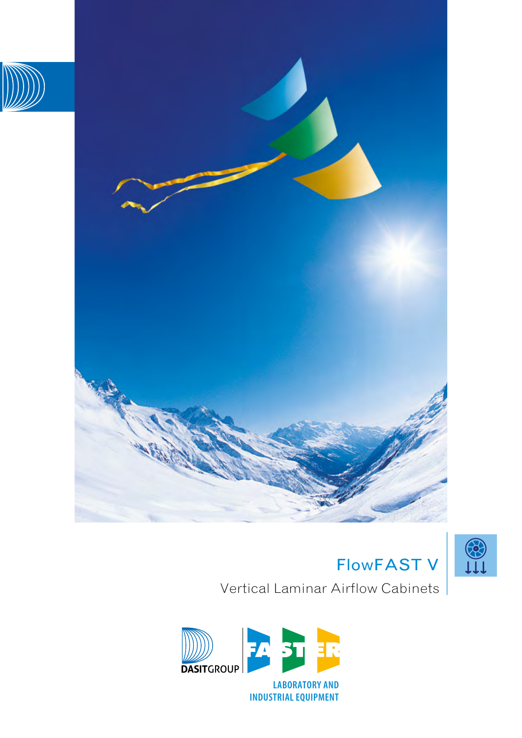



Vertical Laminar Airflow Cabinets

FlowFAST V

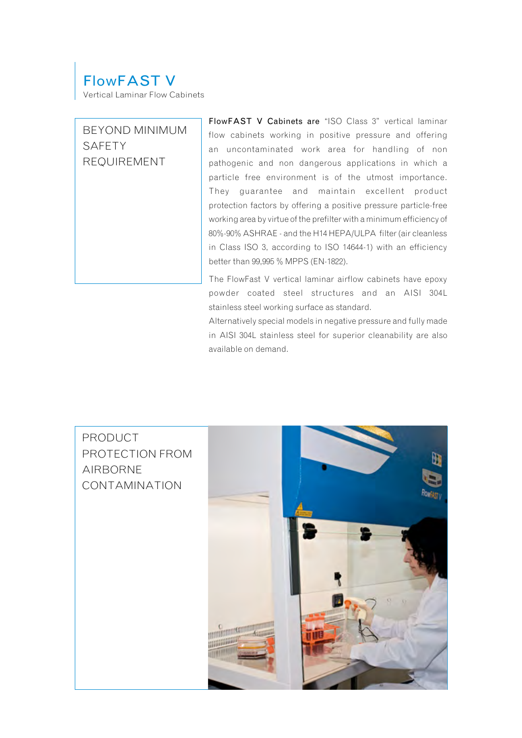# FlowFAST V

Vertical Laminar Flow Cabinets

## BEYOND MINIMUM SAFETY REQUIREMENT

FlowFAST V Cabinets are "ISO Class 3" vertical laminar flow cabinets working in positive pressure and offering an uncontaminated work area for handling of non pathogenic and non dangerous applications in which a particle free environment is of the utmost importance. They guarantee and maintain excellent product protection factors by offering a positive pressure particle-free working area by virtue of the prefilter with a minimum efficiency of 80%-90% ASHRAE - and the H14 HEPA/ULPA filter (air cleanless in Class ISO 3, according to ISO 14644-1) with an efficiency better than 99,995 % MPPS (EN-1822).

The FlowFast V vertical laminar airflow cabinets have epoxy powder coated steel structures and an AISI 304L stainless steel working surface as standard.

Alternatively special models in negative pressure and fully made in AISI 304L stainless steel for superior cleanability are also available on demand.

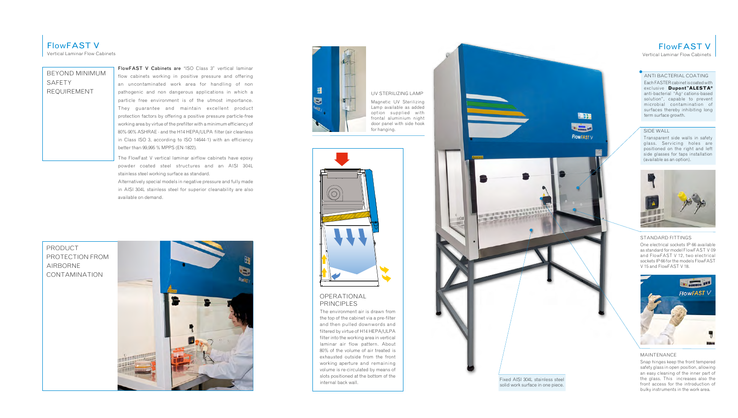

#### UV STERILIZING LAMP

Magnetic UV Sterilizing Lamp available as added option supplied with frontal aluminium night door panel with side hook for hanging.



## OPERATIONAL PRINCIPLES

The environment air is drawn from the top of the cabinet via a pre-filter and then pulled downwords and filtered by virtue of H14 HEPA/ULPA filter into the working area in vertical laminar air flow pattern. About 80% of the volume of air treated is exhausted outside from the front working aperture and remaining volume is re-circulated by means of slots positioned at the bottom of the internal back wall.



FlowFAST V Vertical Laminar Flow Cabinets

#### ANTI BACTERIAL COATING

Each FASTER cabinet is coated with exclusive **Dupont™ALESTA®** anti-bacterial "Ag+ cations-based solution", capable to prevent microbial contamination of surfaces thereby inhibiting long term surface growth.

#### SIDE WALL

Transparent side walls in safety glass. Servicing holes are positioned on the right and left side glasses for taps installation (available as an option).



#### STANDARD FITTINGS

One electrical sockets IP 66 available as standard for model FlowFAST V 09 and FlowFAST V 12, two electrical sockets IP 66 for the models FlowFAST V 15 and FlowFAST V 18.



#### MAINTENANCE

Snap hinges keep the front tempered safety glass in open position, allowing an easy cleaning of the inner part of the glass. This increases also the front access for the introduction of bulky instruments in the work area.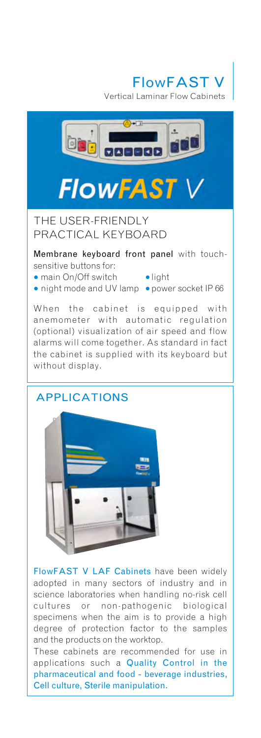**FlowFAST** 

Vertical Laminar Flow Cabinets



# **FlowFAST**

THE USER-FRIENDLY PRACTICAL KEYBOARD

Membrane keyboard front panel with touchsensitive buttons for:

- main On/Off switch light
	-
- night mode and UV lamp power socket IP 66

When the cabinet is equipped with anemometer with automatic regulation (optional) visualization of air speed and flow alarms will come together. As standard in fact the cabinet is supplied with its keyboard but without display.

## APPLICATIONS



FlowFAST V LAF Cabinets have been widely adopted in many sectors of industry and in science laboratories when handling no-risk cell cultures or non-pathogenic biological specimens when the aim is to provide a high degree of protection factor to the samples and the products on the worktop.

These cabinets are recommended for use in applications such a Quality Control in the pharmaceutical and food - beverage industries, Cell culture, Sterile manipulation.